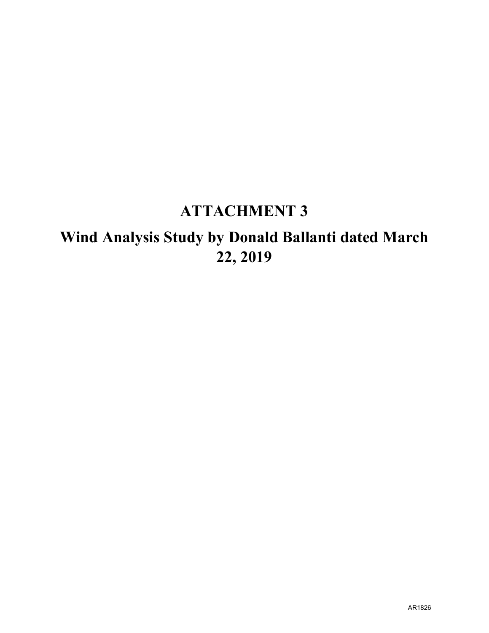## **ATTACHMENT 3**

# **Wind Analysis Study by Donald Ballanti dated March 22, 2019**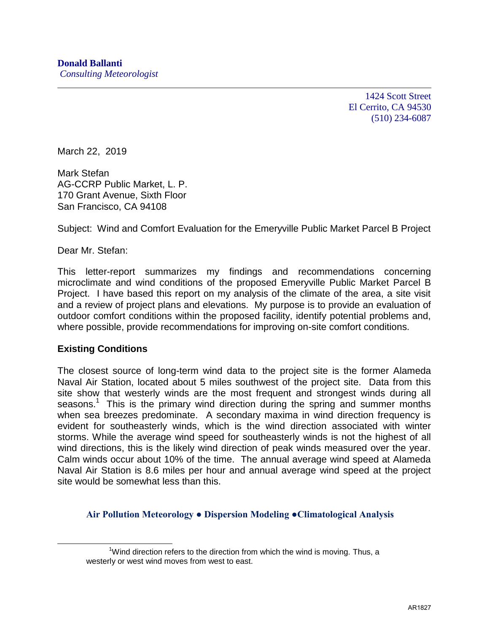1424 Scott Street El Cerrito, CA 94530 (510) 234-6087

March 22, 2019

Mark Stefan AG-CCRP Public Market, L. P. 170 Grant Avenue, Sixth Floor San Francisco, CA 94108

Subject: Wind and Comfort Evaluation for the Emeryville Public Market Parcel B Project

Dear Mr. Stefan:

This letter-report summarizes my findings and recommendations concerning microclimate and wind conditions of the proposed Emeryville Public Market Parcel B Project. I have based this report on my analysis of the climate of the area, a site visit and a review of project plans and elevations. My purpose is to provide an evaluation of outdoor comfort conditions within the proposed facility, identify potential problems and, where possible, provide recommendations for improving on-site comfort conditions.

#### **Existing Conditions**

 $\overline{a}$ 

The closest source of long-term wind data to the project site is the former Alameda Naval Air Station, located about 5 miles southwest of the project site. Data from this site show that westerly winds are the most frequent and strongest winds during all seasons.<sup>1</sup> This is the primary wind direction during the spring and summer months when sea breezes predominate. A secondary maxima in wind direction frequency is evident for southeasterly winds, which is the wind direction associated with winter storms. While the average wind speed for southeasterly winds is not the highest of all wind directions, this is the likely wind direction of peak winds measured over the year. Calm winds occur about 10% of the time. The annual average wind speed at Alameda Naval Air Station is 8.6 miles per hour and annual average wind speed at the project site would be somewhat less than this.

**Air Pollution Meteorology ● Dispersion Modeling ●Climatological Analysis**

 $1$ <sup>1</sup>Wind direction refers to the direction from which the wind is moving. Thus, a westerly or west wind moves from west to east.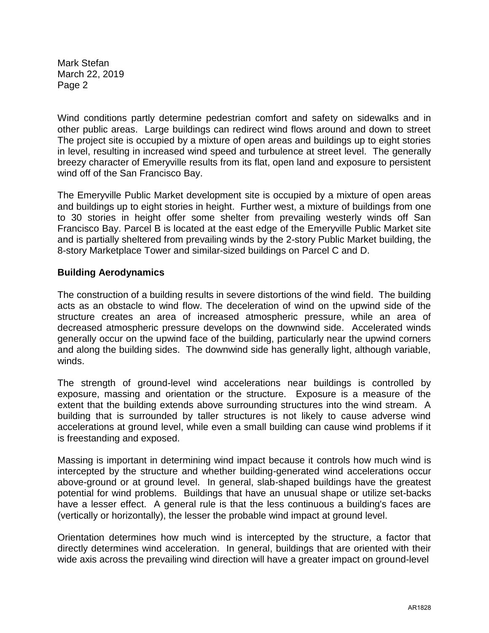Mark Stefan March 22, 2019 Page 2

Wind conditions partly determine pedestrian comfort and safety on sidewalks and in other public areas. Large buildings can redirect wind flows around and down to street The project site is occupied by a mixture of open areas and buildings up to eight stories in level, resulting in increased wind speed and turbulence at street level. The generally breezy character of Emeryville results from its flat, open land and exposure to persistent wind off of the San Francisco Bay.

The Emeryville Public Market development site is occupied by a mixture of open areas and buildings up to eight stories in height. Further west, a mixture of buildings from one to 30 stories in height offer some shelter from prevailing westerly winds off San Francisco Bay. Parcel B is located at the east edge of the Emeryville Public Market site and is partially sheltered from prevailing winds by the 2-story Public Market building, the 8-story Marketplace Tower and similar-sized buildings on Parcel C and D.

### **Building Aerodynamics**

The construction of a building results in severe distortions of the wind field. The building acts as an obstacle to wind flow. The deceleration of wind on the upwind side of the structure creates an area of increased atmospheric pressure, while an area of decreased atmospheric pressure develops on the downwind side. Accelerated winds generally occur on the upwind face of the building, particularly near the upwind corners and along the building sides. The downwind side has generally light, although variable, winds.

The strength of ground-level wind accelerations near buildings is controlled by exposure, massing and orientation or the structure. Exposure is a measure of the extent that the building extends above surrounding structures into the wind stream. A building that is surrounded by taller structures is not likely to cause adverse wind accelerations at ground level, while even a small building can cause wind problems if it is freestanding and exposed.

Massing is important in determining wind impact because it controls how much wind is intercepted by the structure and whether building-generated wind accelerations occur above-ground or at ground level. In general, slab-shaped buildings have the greatest potential for wind problems. Buildings that have an unusual shape or utilize set-backs have a lesser effect. A general rule is that the less continuous a building's faces are (vertically or horizontally), the lesser the probable wind impact at ground level.

Orientation determines how much wind is intercepted by the structure, a factor that directly determines wind acceleration. In general, buildings that are oriented with their wide axis across the prevailing wind direction will have a greater impact on ground-level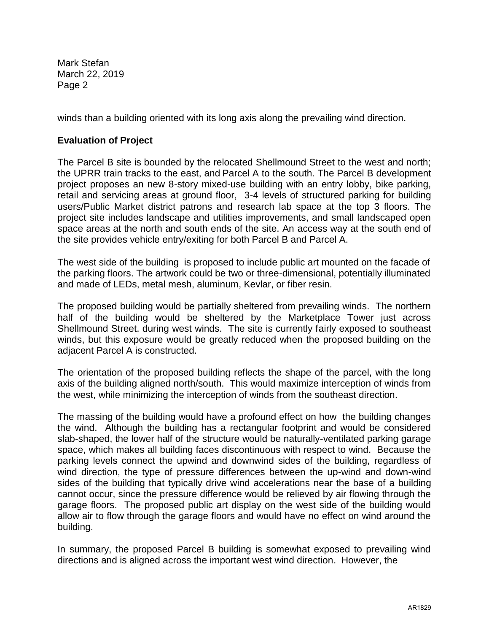Mark Stefan March 22, 2019 Page 2

winds than a building oriented with its long axis along the prevailing wind direction.

## **Evaluation of Project**

The Parcel B site is bounded by the relocated Shellmound Street to the west and north; the UPRR train tracks to the east, and Parcel A to the south. The Parcel B development project proposes an new 8-story mixed-use building with an entry lobby, bike parking, retail and servicing areas at ground floor, 3-4 levels of structured parking for building users/Public Market district patrons and research lab space at the top 3 floors. The project site includes landscape and utilities improvements, and small landscaped open space areas at the north and south ends of the site. An access way at the south end of the site provides vehicle entry/exiting for both Parcel B and Parcel A.

The west side of the building is proposed to include public art mounted on the facade of the parking floors. The artwork could be two or three-dimensional, potentially illuminated and made of LEDs, metal mesh, aluminum, Kevlar, or fiber resin.

The proposed building would be partially sheltered from prevailing winds. The northern half of the building would be sheltered by the Marketplace Tower just across Shellmound Street. during west winds. The site is currently fairly exposed to southeast winds, but this exposure would be greatly reduced when the proposed building on the adjacent Parcel A is constructed.

The orientation of the proposed building reflects the shape of the parcel, with the long axis of the building aligned north/south. This would maximize interception of winds from the west, while minimizing the interception of winds from the southeast direction.

The massing of the building would have a profound effect on how the building changes the wind. Although the building has a rectangular footprint and would be considered slab-shaped, the lower half of the structure would be naturally-ventilated parking garage space, which makes all building faces discontinuous with respect to wind. Because the parking levels connect the upwind and downwind sides of the building, regardless of wind direction, the type of pressure differences between the up-wind and down-wind sides of the building that typically drive wind accelerations near the base of a building cannot occur, since the pressure difference would be relieved by air flowing through the garage floors. The proposed public art display on the west side of the building would allow air to flow through the garage floors and would have no effect on wind around the building.

In summary, the proposed Parcel B building is somewhat exposed to prevailing wind directions and is aligned across the important west wind direction. However, the